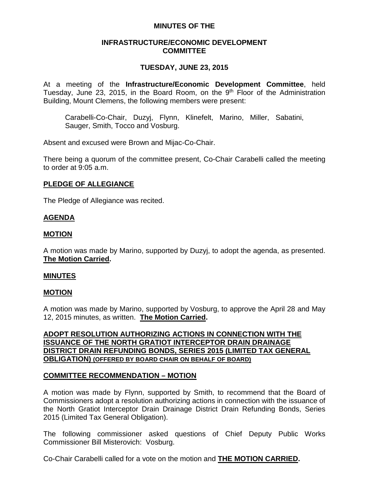### **MINUTES OF THE**

### **INFRASTRUCTURE/ECONOMIC DEVELOPMENT COMMITTEE**

# **TUESDAY, JUNE 23, 2015**

At a meeting of the **Infrastructure/Economic Development Committee**, held Tuesday, June 23, 2015, in the Board Room, on the  $9<sup>th</sup>$  Floor of the Administration Building, Mount Clemens, the following members were present:

Carabelli-Co-Chair, Duzyj, Flynn, Klinefelt, Marino, Miller, Sabatini, Sauger, Smith, Tocco and Vosburg.

Absent and excused were Brown and Mijac-Co-Chair.

There being a quorum of the committee present, Co-Chair Carabelli called the meeting to order at 9:05 a.m.

# **PLEDGE OF ALLEGIANCE**

The Pledge of Allegiance was recited.

# **AGENDA**

### **MOTION**

A motion was made by Marino, supported by Duzyj, to adopt the agenda, as presented. **The Motion Carried.**

#### **MINUTES**

#### **MOTION**

A motion was made by Marino, supported by Vosburg, to approve the April 28 and May 12, 2015 minutes, as written. **The Motion Carried.**

### **ADOPT RESOLUTION AUTHORIZING ACTIONS IN CONNECTION WITH THE ISSUANCE OF THE NORTH GRATIOT INTERCEPTOR DRAIN DRAINAGE DISTRICT DRAIN REFUNDING BONDS, SERIES 2015 (LIMITED TAX GENERAL OBLIGATION) (OFFERED BY BOARD CHAIR ON BEHALF OF BOARD)**

#### **COMMITTEE RECOMMENDATION – MOTION**

A motion was made by Flynn, supported by Smith, to recommend that the Board of Commissioners adopt a resolution authorizing actions in connection with the issuance of the North Gratiot Interceptor Drain Drainage District Drain Refunding Bonds, Series 2015 (Limited Tax General Obligation).

The following commissioner asked questions of Chief Deputy Public Works Commissioner Bill Misterovich: Vosburg.

Co-Chair Carabelli called for a vote on the motion and **THE MOTION CARRIED.**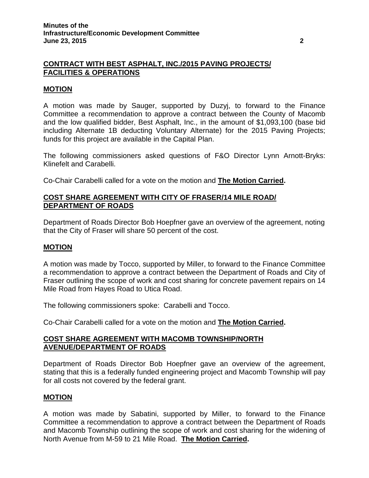# **CONTRACT WITH BEST ASPHALT, INC./2015 PAVING PROJECTS/ FACILITIES & OPERATIONS**

### **MOTION**

A motion was made by Sauger, supported by Duzyj, to forward to the Finance Committee a recommendation to approve a contract between the County of Macomb and the low qualified bidder, Best Asphalt, Inc., in the amount of \$1,093,100 (base bid including Alternate 1B deducting Voluntary Alternate) for the 2015 Paving Projects; funds for this project are available in the Capital Plan.

The following commissioners asked questions of F&O Director Lynn Arnott-Bryks: Klinefelt and Carabelli.

Co-Chair Carabelli called for a vote on the motion and **The Motion Carried.**

# **COST SHARE AGREEMENT WITH CITY OF FRASER/14 MILE ROAD/ DEPARTMENT OF ROADS**

Department of Roads Director Bob Hoepfner gave an overview of the agreement, noting that the City of Fraser will share 50 percent of the cost.

#### **MOTION**

A motion was made by Tocco, supported by Miller, to forward to the Finance Committee a recommendation to approve a contract between the Department of Roads and City of Fraser outlining the scope of work and cost sharing for concrete pavement repairs on 14 Mile Road from Hayes Road to Utica Road.

The following commissioners spoke: Carabelli and Tocco.

Co-Chair Carabelli called for a vote on the motion and **The Motion Carried.**

### **COST SHARE AGREEMENT WITH MACOMB TOWNSHIP/NORTH AVENUE/DEPARTMENT OF ROADS**

Department of Roads Director Bob Hoepfner gave an overview of the agreement, stating that this is a federally funded engineering project and Macomb Township will pay for all costs not covered by the federal grant.

#### **MOTION**

A motion was made by Sabatini, supported by Miller, to forward to the Finance Committee a recommendation to approve a contract between the Department of Roads and Macomb Township outlining the scope of work and cost sharing for the widening of North Avenue from M-59 to 21 Mile Road. **The Motion Carried.**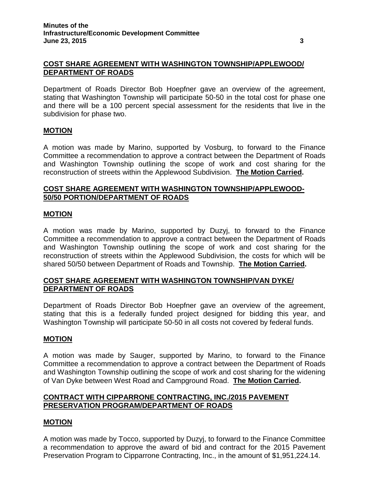### **COST SHARE AGREEMENT WITH WASHINGTON TOWNSHIP/APPLEWOOD/ DEPARTMENT OF ROADS**

Department of Roads Director Bob Hoepfner gave an overview of the agreement, stating that Washington Township will participate 50-50 in the total cost for phase one and there will be a 100 percent special assessment for the residents that live in the subdivision for phase two.

#### **MOTION**

A motion was made by Marino, supported by Vosburg, to forward to the Finance Committee a recommendation to approve a contract between the Department of Roads and Washington Township outlining the scope of work and cost sharing for the reconstruction of streets within the Applewood Subdivision. **The Motion Carried.**

### **COST SHARE AGREEMENT WITH WASHINGTON TOWNSHIP/APPLEWOOD-50/50 PORTION/DEPARTMENT OF ROADS**

#### **MOTION**

A motion was made by Marino, supported by Duzyj, to forward to the Finance Committee a recommendation to approve a contract between the Department of Roads and Washington Township outlining the scope of work and cost sharing for the reconstruction of streets within the Applewood Subdivision, the costs for which will be shared 50/50 between Department of Roads and Township. **The Motion Carried.**

### **COST SHARE AGREEMENT WITH WASHINGTON TOWNSHIP/VAN DYKE/ DEPARTMENT OF ROADS**

Department of Roads Director Bob Hoepfner gave an overview of the agreement, stating that this is a federally funded project designed for bidding this year, and Washington Township will participate 50-50 in all costs not covered by federal funds.

#### **MOTION**

A motion was made by Sauger, supported by Marino, to forward to the Finance Committee a recommendation to approve a contract between the Department of Roads and Washington Township outlining the scope of work and cost sharing for the widening of Van Dyke between West Road and Campground Road. **The Motion Carried.**

### **CONTRACT WITH CIPPARRONE CONTRACTING, INC./2015 PAVEMENT PRESERVATION PROGRAM/DEPARTMENT OF ROADS**

#### **MOTION**

A motion was made by Tocco, supported by Duzyj, to forward to the Finance Committee a recommendation to approve the award of bid and contract for the 2015 Pavement Preservation Program to Cipparrone Contracting, Inc., in the amount of \$1,951,224.14.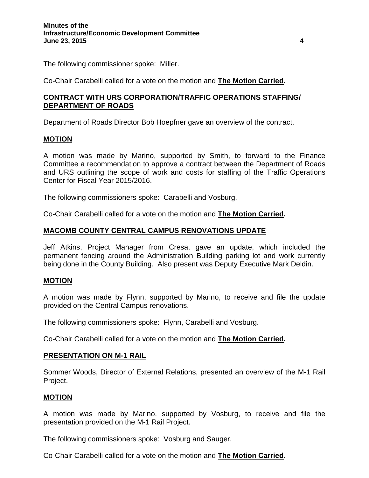The following commissioner spoke: Miller.

Co-Chair Carabelli called for a vote on the motion and **The Motion Carried.**

# **CONTRACT WITH URS CORPORATION/TRAFFIC OPERATIONS STAFFING/ DEPARTMENT OF ROADS**

Department of Roads Director Bob Hoepfner gave an overview of the contract.

# **MOTION**

A motion was made by Marino, supported by Smith, to forward to the Finance Committee a recommendation to approve a contract between the Department of Roads and URS outlining the scope of work and costs for staffing of the Traffic Operations Center for Fiscal Year 2015/2016.

The following commissioners spoke: Carabelli and Vosburg.

Co-Chair Carabelli called for a vote on the motion and **The Motion Carried.**

# **MACOMB COUNTY CENTRAL CAMPUS RENOVATIONS UPDATE**

Jeff Atkins, Project Manager from Cresa, gave an update, which included the permanent fencing around the Administration Building parking lot and work currently being done in the County Building. Also present was Deputy Executive Mark Deldin.

# **MOTION**

A motion was made by Flynn, supported by Marino, to receive and file the update provided on the Central Campus renovations.

The following commissioners spoke: Flynn, Carabelli and Vosburg.

Co-Chair Carabelli called for a vote on the motion and **The Motion Carried.**

# **PRESENTATION ON M-1 RAIL**

Sommer Woods, Director of External Relations, presented an overview of the M-1 Rail Project.

# **MOTION**

A motion was made by Marino, supported by Vosburg, to receive and file the presentation provided on the M-1 Rail Project.

The following commissioners spoke: Vosburg and Sauger.

Co-Chair Carabelli called for a vote on the motion and **The Motion Carried.**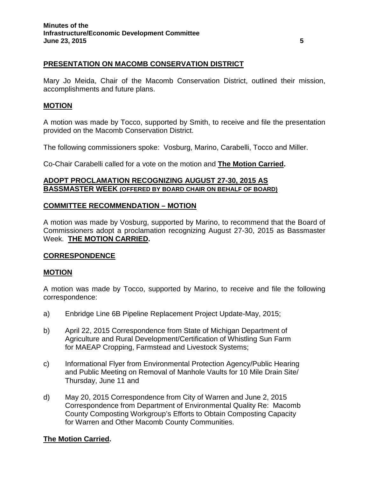# **PRESENTATION ON MACOMB CONSERVATION DISTRICT**

Mary Jo Meida, Chair of the Macomb Conservation District, outlined their mission, accomplishments and future plans.

### **MOTION**

A motion was made by Tocco, supported by Smith, to receive and file the presentation provided on the Macomb Conservation District.

The following commissioners spoke: Vosburg, Marino, Carabelli, Tocco and Miller.

Co-Chair Carabelli called for a vote on the motion and **The Motion Carried.**

### **ADOPT PROCLAMATION RECOGNIZING AUGUST 27-30, 2015 AS BASSMASTER WEEK (OFFERED BY BOARD CHAIR ON BEHALF OF BOARD)**

# **COMMITTEE RECOMMENDATION – MOTION**

A motion was made by Vosburg, supported by Marino, to recommend that the Board of Commissioners adopt a proclamation recognizing August 27-30, 2015 as Bassmaster Week. **THE MOTION CARRIED.**

#### **CORRESPONDENCE**

#### **MOTION**

A motion was made by Tocco, supported by Marino, to receive and file the following correspondence:

- a) Enbridge Line 6B Pipeline Replacement Project Update-May, 2015;
- b) April 22, 2015 Correspondence from State of Michigan Department of Agriculture and Rural Development/Certification of Whistling Sun Farm for MAEAP Cropping, Farmstead and Livestock Systems;
- c) Informational Flyer from Environmental Protection Agency/Public Hearing and Public Meeting on Removal of Manhole Vaults for 10 Mile Drain Site/ Thursday, June 11 and
- d) May 20, 2015 Correspondence from City of Warren and June 2, 2015 Correspondence from Department of Environmental Quality Re: Macomb County Composting Workgroup's Efforts to Obtain Composting Capacity for Warren and Other Macomb County Communities.

#### **The Motion Carried.**